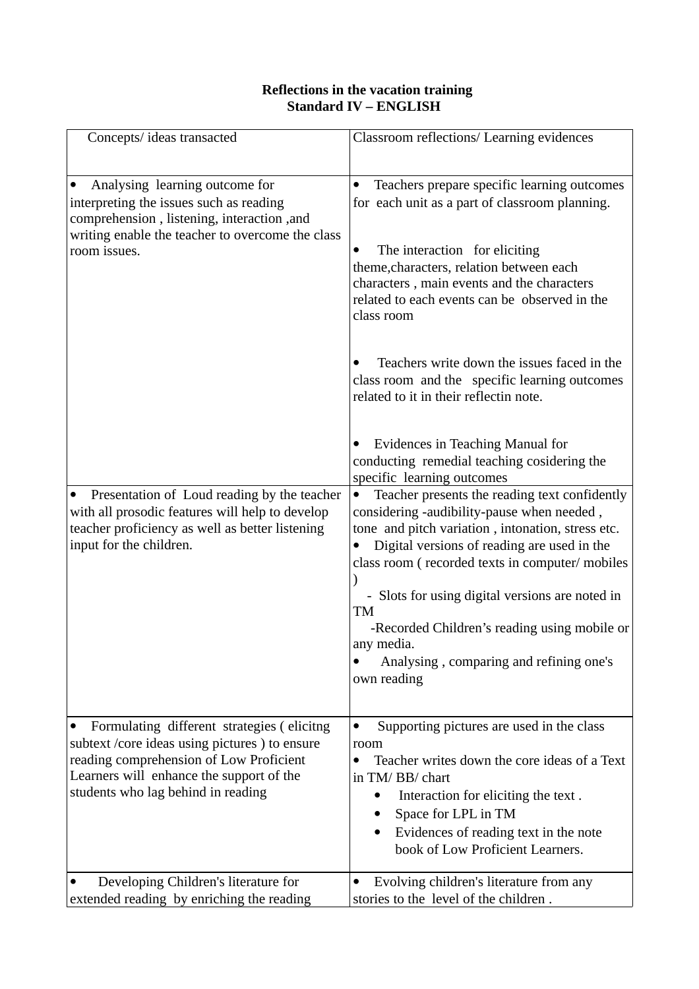## **Reflections in the vacation training Standard IV – ENGLISH**

| Concepts/ ideas transacted                                                                                                                                                                                                | Classroom reflections/ Learning evidences                                                                                                                                                                                                                                                                                                                                                                                          |
|---------------------------------------------------------------------------------------------------------------------------------------------------------------------------------------------------------------------------|------------------------------------------------------------------------------------------------------------------------------------------------------------------------------------------------------------------------------------------------------------------------------------------------------------------------------------------------------------------------------------------------------------------------------------|
| Analysing learning outcome for<br>interpreting the issues such as reading<br>comprehension, listening, interaction, and<br>writing enable the teacher to overcome the class<br>room issues.                               | Teachers prepare specific learning outcomes<br>$\bullet$<br>for each unit as a part of classroom planning.<br>The interaction for eliciting<br>theme, characters, relation between each<br>characters, main events and the characters<br>related to each events can be observed in the<br>class room                                                                                                                               |
|                                                                                                                                                                                                                           | Teachers write down the issues faced in the<br>class room and the specific learning outcomes<br>related to it in their reflectin note.                                                                                                                                                                                                                                                                                             |
|                                                                                                                                                                                                                           | Evidences in Teaching Manual for<br>conducting remedial teaching cosidering the<br>specific learning outcomes                                                                                                                                                                                                                                                                                                                      |
| Presentation of Loud reading by the teacher<br>$\bullet$<br>with all prosodic features will help to develop<br>teacher proficiency as well as better listening<br>input for the children.                                 | Teacher presents the reading text confidently<br>considering -audibility-pause when needed,<br>tone and pitch variation, intonation, stress etc.<br>Digital versions of reading are used in the<br>class room (recorded texts in computer/mobiles<br>- Slots for using digital versions are noted in<br>TM<br>-Recorded Children's reading using mobile or<br>any media.<br>Analysing, comparing and refining one's<br>own reading |
| Formulating different strategies (elicitng<br>subtext /core ideas using pictures ) to ensure<br>reading comprehension of Low Proficient<br>Learners will enhance the support of the<br>students who lag behind in reading | Supporting pictures are used in the class<br>room<br>Teacher writes down the core ideas of a Text<br>$\bullet$<br>in TM/BB/chart<br>Interaction for eliciting the text.<br>Space for LPL in TM<br>Evidences of reading text in the note<br>book of Low Proficient Learners.                                                                                                                                                        |
| Developing Children's literature for<br>extended reading by enriching the reading                                                                                                                                         | Evolving children's literature from any<br>stories to the level of the children.                                                                                                                                                                                                                                                                                                                                                   |